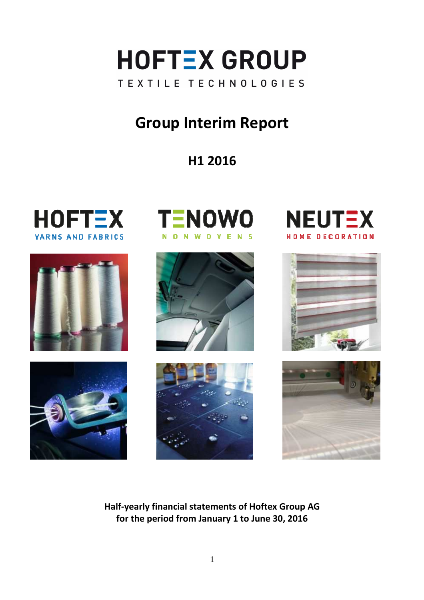

# **Group Interim Report**

# **H1 2016**











 $\overline{\phantom{a}}$ 





**Half-yearly financial statements of Hoftex Group AG for the period from January 1 to June 30, 2016**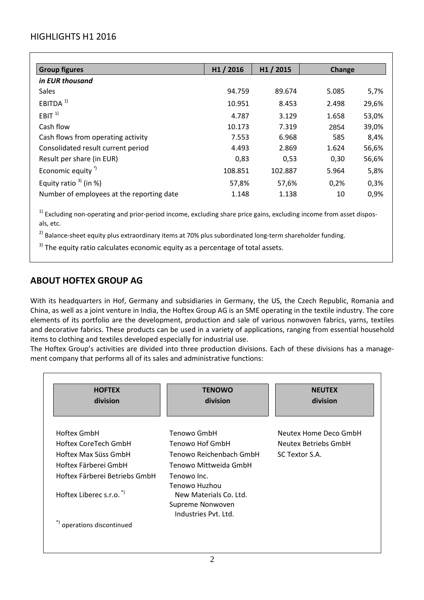## HIGHLIGHTS H1 2016

| <b>Group figures</b>                      | H <sub>1</sub> / 2016 | H <sub>1</sub> / 2015 | <b>Change</b> |       |
|-------------------------------------------|-----------------------|-----------------------|---------------|-------|
| in EUR thousand                           |                       |                       |               |       |
| Sales                                     | 94.759                | 89.674                | 5.085         | 5,7%  |
| EBITDA $1$                                | 10.951                | 8.453                 | 2.498         | 29,6% |
| EBIT <sup>1</sup>                         | 4.787                 | 3.129                 | 1.658         | 53,0% |
| Cash flow                                 | 10.173                | 7.319                 | 2854          | 39,0% |
| Cash flows from operating activity        | 7.553                 | 6.968                 | 585           | 8,4%  |
| Consolidated result current period        | 4.493                 | 2.869                 | 1.624         | 56,6% |
| Result per share (in EUR)                 | 0,83                  | 0,53                  | 0,30          | 56,6% |
| Economic equity <sup><math>2</math></sup> | 108.851               | 102.887               | 5.964         | 5,8%  |
| Equity ratio $3$ <sup>2</sup> (in %)      | 57,8%                 | 57,6%                 | 0,2%          | 0,3%  |
| Number of employees at the reporting date | 1.148                 | 1.138                 | 10            | 0,9%  |

 $1)$  Excluding non-operating and prior-period income, excluding share price gains, excluding income from asset disposals, etc.

 $^{2)}$  Balance-sheet equity plus extraordinary items at 70% plus subordinated long-term shareholder funding.

 $3)$  The equity ratio calculates economic equity as a percentage of total assets.

## **ABOUT HOFTEX GROUP AG**

With its headquarters in Hof, Germany and subsidiaries in Germany, the US, the Czech Republic, Romania and China, as well as a joint venture in India, the Hoftex Group AG is an SME operating in the textile industry. The core elements of its portfolio are the development, production and sale of various nonwoven fabrics, yarns, textiles and decorative fabrics. These products can be used in a variety of applications, ranging from essential household items to clothing and textiles developed especially for industrial use.

The Hoftex Group's activities are divided into three production divisions. Each of these divisions has a management company that performs all of its sales and administrative functions:

| <b>HOFTEX</b><br>division           | <b>TENOWO</b><br>division                                          | <b>NEUTEX</b><br>division |
|-------------------------------------|--------------------------------------------------------------------|---------------------------|
| Hoftex GmbH                         | Tenowo GmbH                                                        | Neutex Home Deco GmbH     |
| Hoftex CoreTech GmbH                | Tenowo Hof GmbH                                                    | Neutex Betriebs GmbH      |
| Hoftex Max Süss GmbH                | Tenowo Reichenbach GmbH                                            | SC Textor S.A.            |
| Hoftex Färberei GmbH                | Tenowo Mittweida GmbH                                              |                           |
| Hoftex Färberei Betriebs GmbH       | Tenowo Inc.<br>Tenowo Huzhou                                       |                           |
| Hoftex Liberec s.r.o. $\sqrt[3]{ }$ | New Materials Co. Ltd.<br>Supreme Nonwoven<br>Industries Pyt. Ltd. |                           |
| operations discontinued             |                                                                    |                           |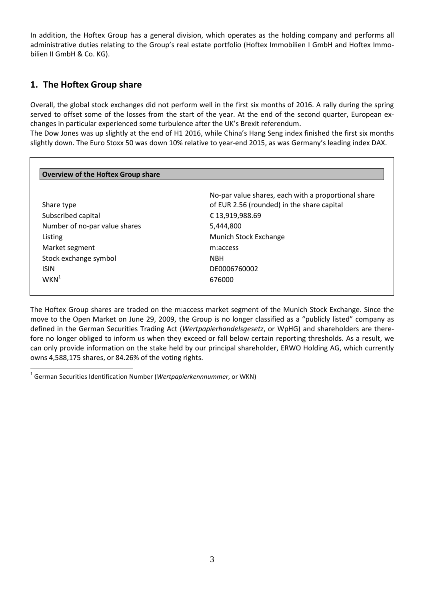In addition, the Hoftex Group has a general division, which operates as the holding company and performs all administrative duties relating to the Group's real estate portfolio (Hoftex Immobilien I GmbH and Hoftex Immobilien II GmbH & Co. KG).

## **1. The Hoftex Group share**

 $\overline{a}$ 

Overall, the global stock exchanges did not perform well in the first six months of 2016. A rally during the spring served to offset some of the losses from the start of the year. At the end of the second quarter, European exchanges in particular experienced some turbulence after the UK's Brexit referendum.

The Dow Jones was up slightly at the end of H1 2016, while China's Hang Seng index finished the first six months slightly down. The Euro Stoxx 50 was down 10% relative to year-end 2015, as was Germany's leading index DAX.

|                               | No-par value shares, each with a proportional share |
|-------------------------------|-----------------------------------------------------|
| Share type                    | of EUR 2.56 (rounded) in the share capital          |
| Subscribed capital            | € 13,919,988.69                                     |
| Number of no-par value shares | 5,444,800                                           |
| Listing                       | Munich Stock Exchange                               |
| Market segment                | m:access                                            |
| Stock exchange symbol         | <b>NBH</b>                                          |
| <b>ISIN</b>                   | DE0006760002                                        |
| $WKN^1$                       | 676000                                              |

The Hoftex Group shares are traded on the m:access market segment of the Munich Stock Exchange. Since the move to the Open Market on June 29, 2009, the Group is no longer classified as a "publicly listed" company as defined in the German Securities Trading Act (*Wertpapierhandelsgesetz*, or WpHG) and shareholders are therefore no longer obliged to inform us when they exceed or fall below certain reporting thresholds. As a result, we can only provide information on the stake held by our principal shareholder, ERWO Holding AG, which currently owns 4,588,175 shares, or 84.26% of the voting rights.

<sup>&</sup>lt;sup>1</sup> German Securities Identification Number (*Wertpapierkennnummer*, or WKN)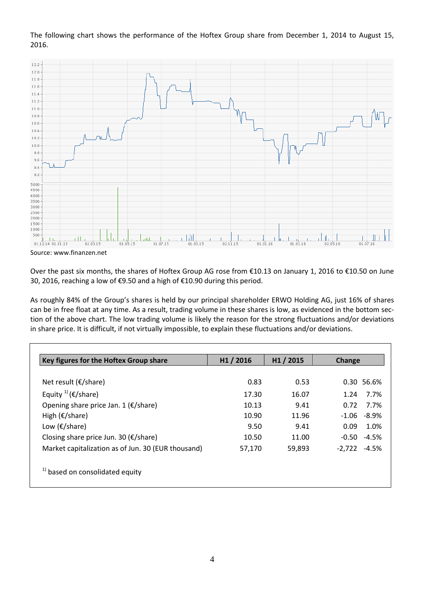The following chart shows the performance of the Hoftex Group share from December 1, 2014 to August 15, 2016.



Source: www.finanzen.net

Over the past six months, the shares of Hoftex Group AG rose from €10.13 on January 1, 2016 to €10.50 on June 30, 2016, reaching a low of €9.50 and a high of €10.90 during this period.

As roughly 84% of the Group's shares is held by our principal shareholder ERWO Holding AG, just 16% of shares can be in free float at any time. As a result, trading volume in these shares is low, as evidenced in the bottom section of the above chart. The low trading volume is likely the reason for the strong fluctuations and/or deviations in share price. It is difficult, if not virtually impossible, to explain these fluctuations and/or deviations.

| Key figures for the Hoftex Group share             | H1 / 2016 | H1 / 2015 | Change         |
|----------------------------------------------------|-----------|-----------|----------------|
|                                                    |           |           |                |
| Net result ( $\epsilon$ /share)                    | 0.83      | 0.53      | 0.30 56.6%     |
| Equity $^{1)}$ (€/share)                           | 17.30     | 16.07     | $1.24$ $7.7\%$ |
| Opening share price Jan. 1 ( $\epsilon$ /share)    | 10.13     | 9.41      | 7.7%<br>0.72   |
| High ( $\epsilon$ /share)                          | 10.90     | 11.96     | $-1.06 - 8.9%$ |
| Low ( $\epsilon$ /share)                           | 9.50      | 9.41      | 0.09<br>1.0%   |
| Closing share price Jun. 30 (€/share)              | 10.50     | 11.00     | $-0.50 -4.5%$  |
| Market capitalization as of Jun. 30 (EUR thousand) | 57,170    | 59,893    | $-2,722 -4.5%$ |
| <sup>1)</sup> based on consolidated equity         |           |           |                |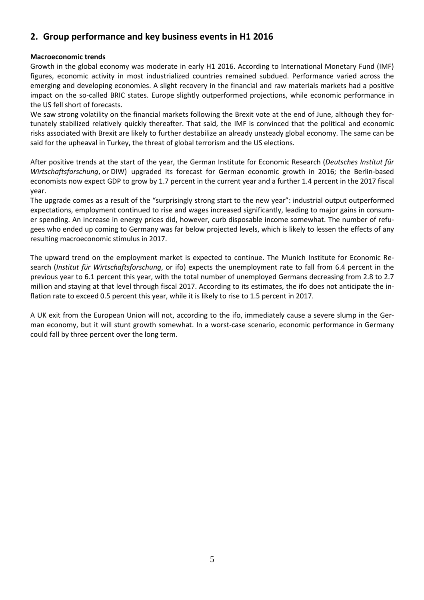## **2. Group performance and key business events in H1 2016**

#### **Macroeconomic trends**

Growth in the global economy was moderate in early H1 2016. According to International Monetary Fund (IMF) figures, economic activity in most industrialized countries remained subdued. Performance varied across the emerging and developing economies. A slight recovery in the financial and raw materials markets had a positive impact on the so-called BRIC states. Europe slightly outperformed projections, while economic performance in the US fell short of forecasts.

We saw strong volatility on the financial markets following the Brexit vote at the end of June, although they fortunately stabilized relatively quickly thereafter. That said, the IMF is convinced that the political and economic risks associated with Brexit are likely to further destabilize an already unsteady global economy. The same can be said for the upheaval in Turkey, the threat of global terrorism and the US elections.

After positive trends at the start of the year, the German Institute for Economic Research (*Deutsches Institut für Wirtschaftsforschung*, or DIW) upgraded its forecast for German economic growth in 2016; the Berlin-based economists now expect GDP to grow by 1.7 percent in the current year and a further 1.4 percent in the 2017 fiscal year.

The upgrade comes as a result of the "surprisingly strong start to the new year": industrial output outperformed expectations, employment continued to rise and wages increased significantly, leading to major gains in consumer spending. An increase in energy prices did, however, curb disposable income somewhat. The number of refugees who ended up coming to Germany was far below projected levels, which is likely to lessen the effects of any resulting macroeconomic stimulus in 2017.

The upward trend on the employment market is expected to continue. The Munich Institute for Economic Research (*Institut für Wirtschaftsforschung*, or ifo) expects the unemployment rate to fall from 6.4 percent in the previous year to 6.1 percent this year, with the total number of unemployed Germans decreasing from 2.8 to 2.7 million and staying at that level through fiscal 2017. According to its estimates, the ifo does not anticipate the inflation rate to exceed 0.5 percent this year, while it is likely to rise to 1.5 percent in 2017.

A UK exit from the European Union will not, according to the ifo, immediately cause a severe slump in the German economy, but it will stunt growth somewhat. In a worst-case scenario, economic performance in Germany could fall by three percent over the long term.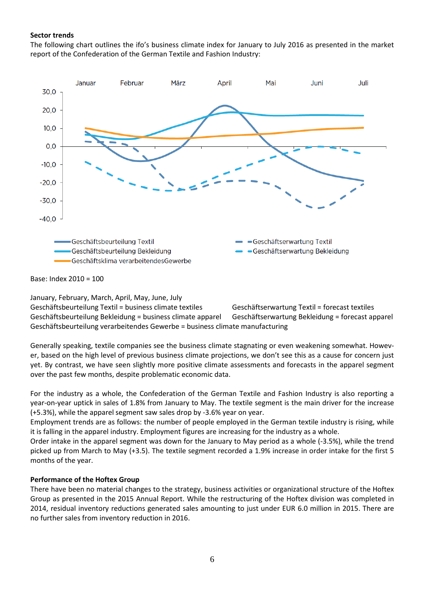#### **Sector trends**

The following chart outlines the ifo's business climate index for January to July 2016 as presented in the market report of the Confederation of the German Textile and Fashion Industry:



Base: Index 2010 = 100

January, February, March, April, May, June, July Geschäftsbeurteilung Textil = business climate textiles Geschäftserwartung Textil = forecast textiles Geschäftsbeurteilung Bekleidung = business climate apparel Geschäftserwartung Bekleidung = forecast apparel Geschäftsbeurteilung verarbeitendes Gewerbe = business climate manufacturing

Generally speaking, textile companies see the business climate stagnating or even weakening somewhat. However, based on the high level of previous business climate projections, we don't see this as a cause for concern just yet. By contrast, we have seen slightly more positive climate assessments and forecasts in the apparel segment over the past few months, despite problematic economic data.

For the industry as a whole, the Confederation of the German Textile and Fashion Industry is also reporting a year-on-year uptick in sales of 1.8% from January to May. The textile segment is the main driver for the increase (+5.3%), while the apparel segment saw sales drop by -3.6% year on year.

Employment trends are as follows: the number of people employed in the German textile industry is rising, while it is falling in the apparel industry. Employment figures are increasing for the industry as a whole.

Order intake in the apparel segment was down for the January to May period as a whole (-3.5%), while the trend picked up from March to May (+3.5). The textile segment recorded a 1.9% increase in order intake for the first 5 months of the year.

#### **Performance of the Hoftex Group**

There have been no material changes to the strategy, business activities or organizational structure of the Hoftex Group as presented in the 2015 Annual Report. While the restructuring of the Hoftex division was completed in 2014, residual inventory reductions generated sales amounting to just under EUR 6.0 million in 2015. There are no further sales from inventory reduction in 2016.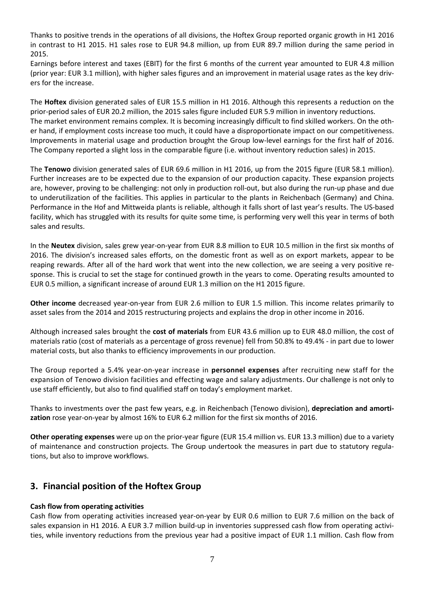Thanks to positive trends in the operations of all divisions, the Hoftex Group reported organic growth in H1 2016 in contrast to H1 2015. H1 sales rose to EUR 94.8 million, up from EUR 89.7 million during the same period in 2015.

Earnings before interest and taxes (EBIT) for the first 6 months of the current year amounted to EUR 4.8 million (prior year: EUR 3.1 million), with higher sales figures and an improvement in material usage rates as the key drivers for the increase.

The **Hoftex** division generated sales of EUR 15.5 million in H1 2016. Although this represents a reduction on the prior-period sales of EUR 20.2 million, the 2015 sales figure included EUR 5.9 million in inventory reductions. The market environment remains complex. It is becoming increasingly difficult to find skilled workers. On the other hand, if employment costs increase too much, it could have a disproportionate impact on our competitiveness. Improvements in material usage and production brought the Group low-level earnings for the first half of 2016. The Company reported a slight loss in the comparable figure (i.e. without inventory reduction sales) in 2015.

The **Tenowo** division generated sales of EUR 69.6 million in H1 2016, up from the 2015 figure (EUR 58.1 million). Further increases are to be expected due to the expansion of our production capacity. These expansion projects are, however, proving to be challenging: not only in production roll-out, but also during the run-up phase and due to underutilization of the facilities. This applies in particular to the plants in Reichenbach (Germany) and China. Performance in the Hof and Mittweida plants is reliable, although it falls short of last year's results. The US-based facility, which has struggled with its results for quite some time, is performing very well this year in terms of both sales and results.

In the **Neutex** division, sales grew year-on-year from EUR 8.8 million to EUR 10.5 million in the first six months of 2016. The division's increased sales efforts, on the domestic front as well as on export markets, appear to be reaping rewards. After all of the hard work that went into the new collection, we are seeing a very positive response. This is crucial to set the stage for continued growth in the years to come. Operating results amounted to EUR 0.5 million, a significant increase of around EUR 1.3 million on the H1 2015 figure.

**Other income** decreased year-on-year from EUR 2.6 million to EUR 1.5 million. This income relates primarily to asset sales from the 2014 and 2015 restructuring projects and explains the drop in other income in 2016.

Although increased sales brought the **cost of materials** from EUR 43.6 million up to EUR 48.0 million, the cost of materials ratio (cost of materials as a percentage of gross revenue) fell from 50.8% to 49.4% - in part due to lower material costs, but also thanks to efficiency improvements in our production.

The Group reported a 5.4% year-on-year increase in **personnel expenses** after recruiting new staff for the expansion of Tenowo division facilities and effecting wage and salary adjustments. Our challenge is not only to use staff efficiently, but also to find qualified staff on today's employment market.

Thanks to investments over the past few years, e.g. in Reichenbach (Tenowo division), **depreciation and amortization** rose year-on-year by almost 16% to EUR 6.2 million for the first six months of 2016.

**Other operating expenses** were up on the prior-year figure (EUR 15.4 million vs. EUR 13.3 million) due to a variety of maintenance and construction projects. The Group undertook the measures in part due to statutory regulations, but also to improve workflows.

## **3. Financial position of the Hoftex Group**

#### **Cash flow from operating activities**

Cash flow from operating activities increased year-on-year by EUR 0.6 million to EUR 7.6 million on the back of sales expansion in H1 2016. A EUR 3.7 million build-up in inventories suppressed cash flow from operating activities, while inventory reductions from the previous year had a positive impact of EUR 1.1 million. Cash flow from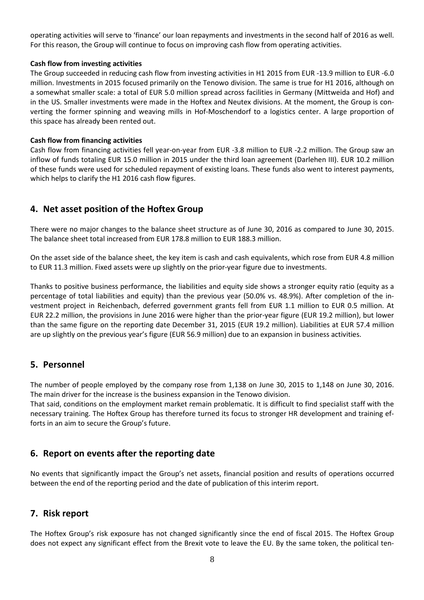operating activities will serve to 'finance' our loan repayments and investments in the second half of 2016 as well. For this reason, the Group will continue to focus on improving cash flow from operating activities.

#### **Cash flow from investing activities**

The Group succeeded in reducing cash flow from investing activities in H1 2015 from EUR -13.9 million to EUR -6.0 million. Investments in 2015 focused primarily on the Tenowo division. The same is true for H1 2016, although on a somewhat smaller scale: a total of EUR 5.0 million spread across facilities in Germany (Mittweida and Hof) and in the US. Smaller investments were made in the Hoftex and Neutex divisions. At the moment, the Group is converting the former spinning and weaving mills in Hof-Moschendorf to a logistics center. A large proportion of this space has already been rented out.

#### **Cash flow from financing activities**

Cash flow from financing activities fell year-on-year from EUR -3.8 million to EUR -2.2 million. The Group saw an inflow of funds totaling EUR 15.0 million in 2015 under the third loan agreement (Darlehen III). EUR 10.2 million of these funds were used for scheduled repayment of existing loans. These funds also went to interest payments, which helps to clarify the H1 2016 cash flow figures.

## **4. Net asset position of the Hoftex Group**

There were no major changes to the balance sheet structure as of June 30, 2016 as compared to June 30, 2015. The balance sheet total increased from EUR 178.8 million to EUR 188.3 million.

On the asset side of the balance sheet, the key item is cash and cash equivalents, which rose from EUR 4.8 million to EUR 11.3 million. Fixed assets were up slightly on the prior-year figure due to investments.

Thanks to positive business performance, the liabilities and equity side shows a stronger equity ratio (equity as a percentage of total liabilities and equity) than the previous year (50.0% vs. 48.9%). After completion of the investment project in Reichenbach, deferred government grants fell from EUR 1.1 million to EUR 0.5 million. At EUR 22.2 million, the provisions in June 2016 were higher than the prior-year figure (EUR 19.2 million), but lower than the same figure on the reporting date December 31, 2015 (EUR 19.2 million). Liabilities at EUR 57.4 million are up slightly on the previous year's figure (EUR 56.9 million) due to an expansion in business activities.

## **5. Personnel**

The number of people employed by the company rose from 1,138 on June 30, 2015 to 1,148 on June 30, 2016. The main driver for the increase is the business expansion in the Tenowo division.

That said, conditions on the employment market remain problematic. It is difficult to find specialist staff with the necessary training. The Hoftex Group has therefore turned its focus to stronger HR development and training efforts in an aim to secure the Group's future.

### **6. Report on events after the reporting date**

No events that significantly impact the Group's net assets, financial position and results of operations occurred between the end of the reporting period and the date of publication of this interim report.

## **7. Risk report**

The Hoftex Group's risk exposure has not changed significantly since the end of fiscal 2015. The Hoftex Group does not expect any significant effect from the Brexit vote to leave the EU. By the same token, the political ten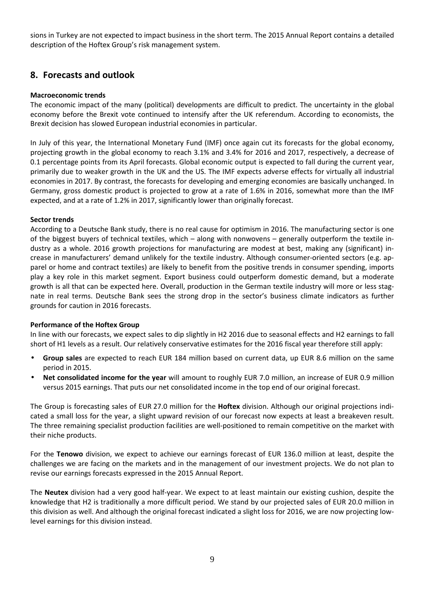sions in Turkey are not expected to impact business in the short term. The 2015 Annual Report contains a detailed description of the Hoftex Group's risk management system.

### **8. Forecasts and outlook**

#### **Macroeconomic trends**

The economic impact of the many (political) developments are difficult to predict. The uncertainty in the global economy before the Brexit vote continued to intensify after the UK referendum. According to economists, the Brexit decision has slowed European industrial economies in particular.

In July of this year, the International Monetary Fund (IMF) once again cut its forecasts for the global economy, projecting growth in the global economy to reach 3.1% and 3.4% for 2016 and 2017, respectively, a decrease of 0.1 percentage points from its April forecasts. Global economic output is expected to fall during the current year, primarily due to weaker growth in the UK and the US. The IMF expects adverse effects for virtually all industrial economies in 2017. By contrast, the forecasts for developing and emerging economies are basically unchanged. In Germany, gross domestic product is projected to grow at a rate of 1.6% in 2016, somewhat more than the IMF expected, and at a rate of 1.2% in 2017, significantly lower than originally forecast.

#### **Sector trends**

According to a Deutsche Bank study, there is no real cause for optimism in 2016. The manufacturing sector is one of the biggest buyers of technical textiles, which – along with nonwovens – generally outperform the textile industry as a whole. 2016 growth projections for manufacturing are modest at best, making any (significant) increase in manufacturers' demand unlikely for the textile industry. Although consumer-oriented sectors (e.g. apparel or home and contract textiles) are likely to benefit from the positive trends in consumer spending, imports play a key role in this market segment. Export business could outperform domestic demand, but a moderate growth is all that can be expected here. Overall, production in the German textile industry will more or less stagnate in real terms. Deutsche Bank sees the strong drop in the sector's business climate indicators as further grounds for caution in 2016 forecasts.

#### **Performance of the Hoftex Group**

In line with our forecasts, we expect sales to dip slightly in H2 2016 due to seasonal effects and H2 earnings to fall short of H1 levels as a result. Our relatively conservative estimates for the 2016 fiscal year therefore still apply:

- **Group sales** are expected to reach EUR 184 million based on current data, up EUR 8.6 million on the same period in 2015.
- **Net consolidated income for the year** will amount to roughly EUR 7.0 million, an increase of EUR 0.9 million versus 2015 earnings. That puts our net consolidated income in the top end of our original forecast.

The Group is forecasting sales of EUR 27.0 million for the **Hoftex** division. Although our original projections indicated a small loss for the year, a slight upward revision of our forecast now expects at least a breakeven result. The three remaining specialist production facilities are well-positioned to remain competitive on the market with their niche products.

For the **Tenowo** division, we expect to achieve our earnings forecast of EUR 136.0 million at least, despite the challenges we are facing on the markets and in the management of our investment projects. We do not plan to revise our earnings forecasts expressed in the 2015 Annual Report.

The **Neutex** division had a very good half-year. We expect to at least maintain our existing cushion, despite the knowledge that H2 is traditionally a more difficult period. We stand by our projected sales of EUR 20.0 million in this division as well. And although the original forecast indicated a slight loss for 2016, we are now projecting lowlevel earnings for this division instead.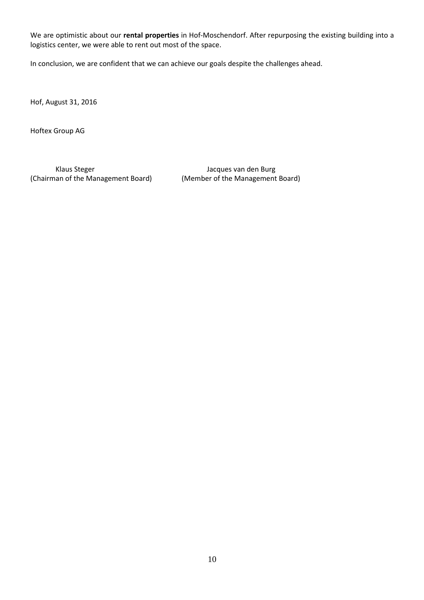We are optimistic about our **rental properties** in Hof-Moschendorf. After repurposing the existing building into a logistics center, we were able to rent out most of the space.

In conclusion, we are confident that we can achieve our goals despite the challenges ahead.

Hof, August 31, 2016

Hoftex Group AG

Klaus Steger Van den Burg van den Burg van den Burg (Chairman of the Management Board) (Member of the Management Board)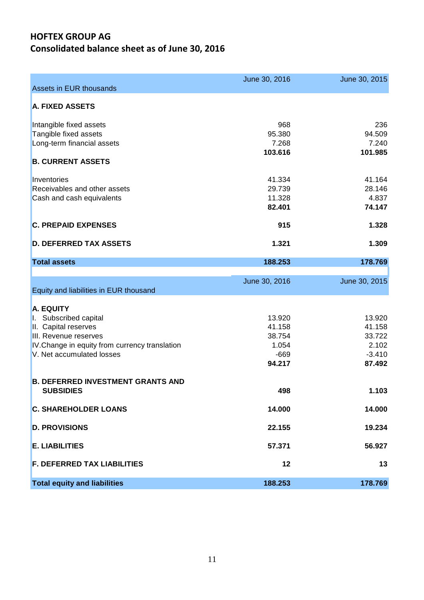# **HOFTEX GROUP AG Consolidated balance sheet as of June 30, 2016**

|                                                                             | June 30, 2016   | June 30, 2015   |
|-----------------------------------------------------------------------------|-----------------|-----------------|
| Assets in EUR thousands                                                     |                 |                 |
| <b>A. FIXED ASSETS</b>                                                      |                 |                 |
| Intangible fixed assets                                                     | 968             | 236             |
| Tangible fixed assets                                                       | 95.380          | 94.509          |
| Long-term financial assets                                                  | 7.268           | 7.240           |
|                                                                             | 103.616         | 101.985         |
| <b>B. CURRENT ASSETS</b>                                                    |                 |                 |
| Inventories                                                                 | 41.334          | 41.164          |
| Receivables and other assets                                                | 29.739          | 28.146          |
| Cash and cash equivalents                                                   | 11.328          | 4.837           |
|                                                                             | 82.401          | 74.147          |
| <b>C. PREPAID EXPENSES</b>                                                  | 915             | 1.328           |
| <b>D. DEFERRED TAX ASSETS</b>                                               | 1.321           | 1.309           |
| <b>Total assets</b>                                                         | 188.253         | 178.769         |
|                                                                             |                 |                 |
|                                                                             | June 30, 2016   | June 30, 2015   |
| Equity and liabilities in EUR thousand                                      |                 |                 |
|                                                                             |                 |                 |
| <b>A. EQUITY</b>                                                            |                 |                 |
| Subscribed capital                                                          | 13.920          | 13.920          |
| II. Capital reserves                                                        | 41.158          | 41.158          |
| III. Revenue reserves                                                       | 38.754<br>1.054 | 33.722<br>2.102 |
| IV. Change in equity from currency translation<br>V. Net accumulated losses | $-669$          | $-3.410$        |
|                                                                             | 94.217          | 87.492          |
|                                                                             |                 |                 |
| <b>B. DEFERRED INVESTMENT GRANTS AND</b>                                    |                 |                 |
| <b>SUBSIDIES</b>                                                            | 498             | 1.103           |
| <b>C. SHAREHOLDER LOANS</b>                                                 | 14.000          | 14.000          |
| <b>D. PROVISIONS</b>                                                        | 22.155          | 19.234          |
| <b>E. LIABILITIES</b>                                                       | 57.371          | 56.927          |
| <b>F. DEFERRED TAX LIABILITIES</b>                                          | 12              | 13              |
| <b>Total equity and liabilities</b>                                         | 188.253         | 178.769         |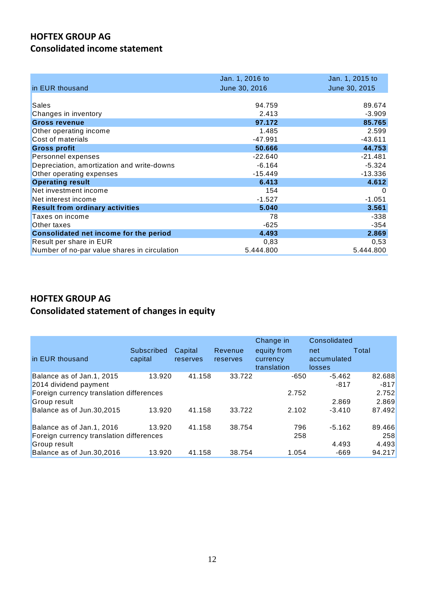# **HOFTEX GROUP AG Consolidated income statement**

| in EUR thousand                               | Jan. 1, 2016 to<br>June 30, 2016 | Jan. 1, 2015 to<br>June 30, 2015 |
|-----------------------------------------------|----------------------------------|----------------------------------|
|                                               |                                  |                                  |
| <b>Sales</b>                                  | 94.759                           | 89.674                           |
| Changes in inventory                          | 2.413                            | $-3.909$                         |
| <b>Gross revenue</b>                          | 97.172                           | 85.765                           |
| Other operating income                        | 1.485                            | 2.599                            |
| Cost of materials                             | $-47.991$                        | $-43.611$                        |
| <b>Gross profit</b>                           | 50.666                           | 44.753                           |
| Personnel expenses                            | $-22.640$                        | $-21.481$                        |
| Depreciation, amortization and write-downs    | $-6.164$                         | $-5.324$                         |
| Other operating expenses                      | $-15.449$                        | $-13.336$                        |
| <b>Operating result</b>                       | 6.413                            | 4.612                            |
| Net investment income                         | 154                              | $\Omega$                         |
| Net interest income                           | $-1.527$                         | $-1.051$                         |
| <b>Result from ordinary activities</b>        | 5.040                            | 3.561                            |
| Taxes on income                               | 78                               | $-338$                           |
| Other taxes                                   | -625                             | $-354$                           |
| <b>Consolidated net income for the period</b> | 4.493                            | 2.869                            |
| Result per share in EUR                       | 0,83                             | 0,53                             |
| Number of no-par value shares in circulation  | 5.444.800                        | 5.444.800                        |

# **HOFTEX GROUP AG**

# **Consolidated statement of changes in equity**

| in EUR thousand                                                       | Subscribed<br>capital | Capital<br>reserves | Revenue<br>reserves | Change in<br>equity from<br>currency<br>translation | Consolidated<br>net<br>accumulated<br>losses | Total            |
|-----------------------------------------------------------------------|-----------------------|---------------------|---------------------|-----------------------------------------------------|----------------------------------------------|------------------|
| Balance as of Jan.1, 2015<br>2014 dividend payment                    | 13.920                | 41.158              | 33.722              | -650                                                | $-5.462$<br>$-817$                           | 82.688<br>$-817$ |
| Foreign currency translation differences<br>Group result              |                       |                     |                     | 2.752                                               | 2.869                                        | 2.752<br>2.869   |
| Balance as of Jun.30,2015                                             | 13.920                | 41.158              | 33.722              | 2.102                                               | $-3.410$                                     | 87.492           |
| Balance as of Jan.1, 2016<br>Foreign currency translation differences | 13.920                | 41.158              | 38.754              | 796<br>258                                          | $-5.162$                                     | 89.466<br>258    |
| Group result<br>Balance as of Jun.30,2016                             | 13.920                | 41.158              | 38.754              | 1.054                                               | 4.493<br>-669                                | 4.493<br>94.217  |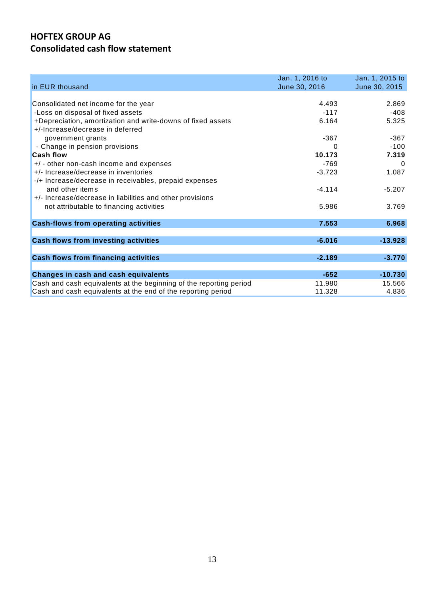## **HOFTEX GROUP AG Consolidated cash flow statement**

| in EUR thousand                                                    | Jan. 1, 2016 to<br>June 30, 2016 | Jan. 1, 2015 to<br>June 30, 2015 |
|--------------------------------------------------------------------|----------------------------------|----------------------------------|
| Consolidated net income for the year                               | 4.493                            | 2.869                            |
| -Loss on disposal of fixed assets                                  | $-117$                           | -408                             |
| +Depreciation, amortization and write-downs of fixed assets        | 6.164                            | 5.325                            |
| +/-Increase/decrease in deferred                                   |                                  |                                  |
| government grants                                                  | $-367$                           | $-367$                           |
| - Change in pension provisions                                     | 0                                | $-100$                           |
| <b>Cash flow</b>                                                   | 10.173                           | 7.319                            |
| +/ - other non-cash income and expenses                            | $-769$                           | $\Omega$                         |
| +/- Increase/decrease in inventories                               | $-3.723$                         | 1.087                            |
| -/+ Increase/decrease in receivables, prepaid expenses             |                                  |                                  |
| and other items                                                    | $-4.114$                         | $-5.207$                         |
| +/- Increase/decrease in liabilities and other provisions          |                                  |                                  |
| not attributable to financing activities                           | 5.986                            | 3.769                            |
| <b>Cash-flows from operating activities</b>                        | 7.553                            | 6.968                            |
|                                                                    |                                  |                                  |
| <b>Cash flows from investing activities</b>                        | $-6.016$                         | $-13.928$                        |
| <b>Cash flows from financing activities</b>                        | $-2.189$                         | $-3.770$                         |
|                                                                    |                                  |                                  |
| <b>Changes in cash and cash equivalents</b>                        | $-652$                           | $-10.730$                        |
| Cash and cash equivalents at the beginning of the reporting period | 11.980                           | 15.566                           |
| Cash and cash equivalents at the end of the reporting period       | 11.328                           | 4.836                            |